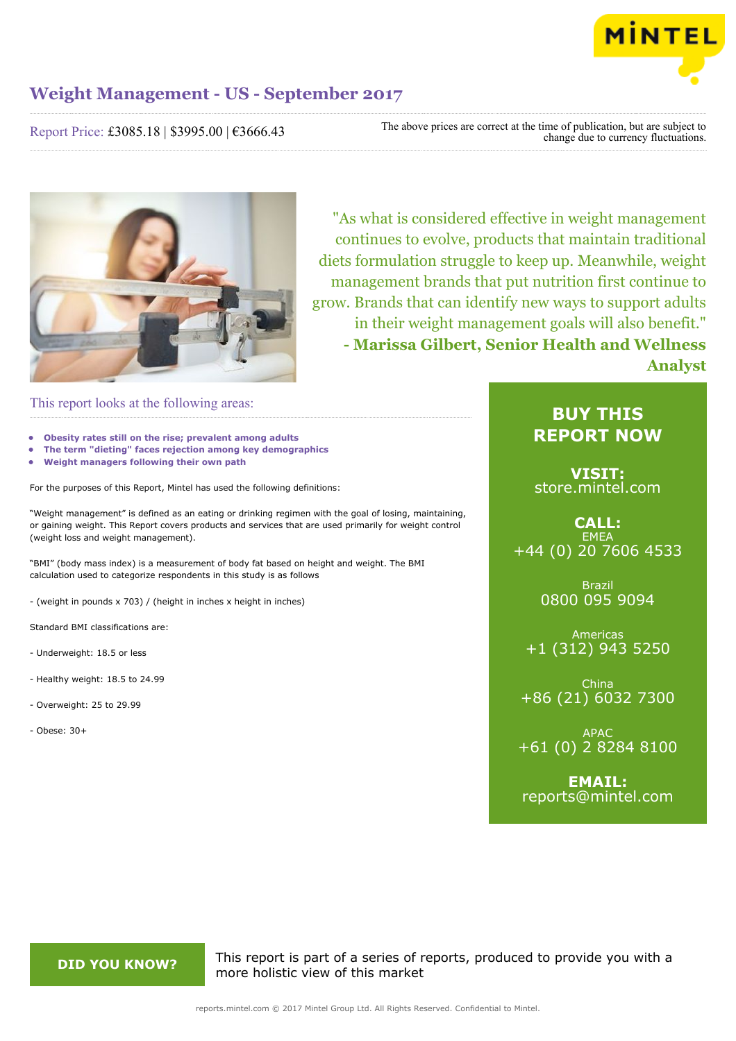

Report Price: £3085.18 | \$3995.00 | €3666.43

The above prices are correct at the time of publication, but are subject to change due to currency fluctuations.



"As what is considered effective in weight management continues to evolve, products that maintain traditional diets formulation struggle to keep up. Meanwhile, weight management brands that put nutrition first continue to grow. Brands that can identify new ways to support adults in their weight management goals will also benefit." **- Marissa Gilbert, Senior Health and Wellness Analyst**

### This report looks at the following areas:

- **• Obesity rates still on the rise; prevalent among adults**
- **• The term "dieting" faces rejection among key demographics**
- **• Weight managers following their own path**

For the purposes of this Report, Mintel has used the following definitions:

"Weight management" is defined as an eating or drinking regimen with the goal of losing, maintaining, or gaining weight. This Report covers products and services that are used primarily for weight control (weight loss and weight management).

"BMI" (body mass index) is a measurement of body fat based on height and weight. The BMI calculation used to categorize respondents in this study is as follows

- (weight in pounds x 703) / (height in inches x height in inches)

Standard BMI classifications are:

- Underweight: 18.5 or less
- Healthy weight: 18.5 to 24.99
- Overweight: 25 to 29.99
- Obese: 30+

## **BUY THIS REPORT NOW**

**VISIT:** [store.mintel.com](http://reports.mintel.com//display/store/794039/)

### **CALL: EMEA** +44 (0) 20 7606 4533

Brazil 0800 095 9094

Americas +1 (312) 943 5250

China +86 (21) 6032 7300

APAC +61 (0) 2 8284 8100

**EMAIL:** [reports@mintel.com](mailto:reports@mintel.com)

**DID YOU KNOW?** This report is part of a series of reports, produced to provide you with a more holistic view of this market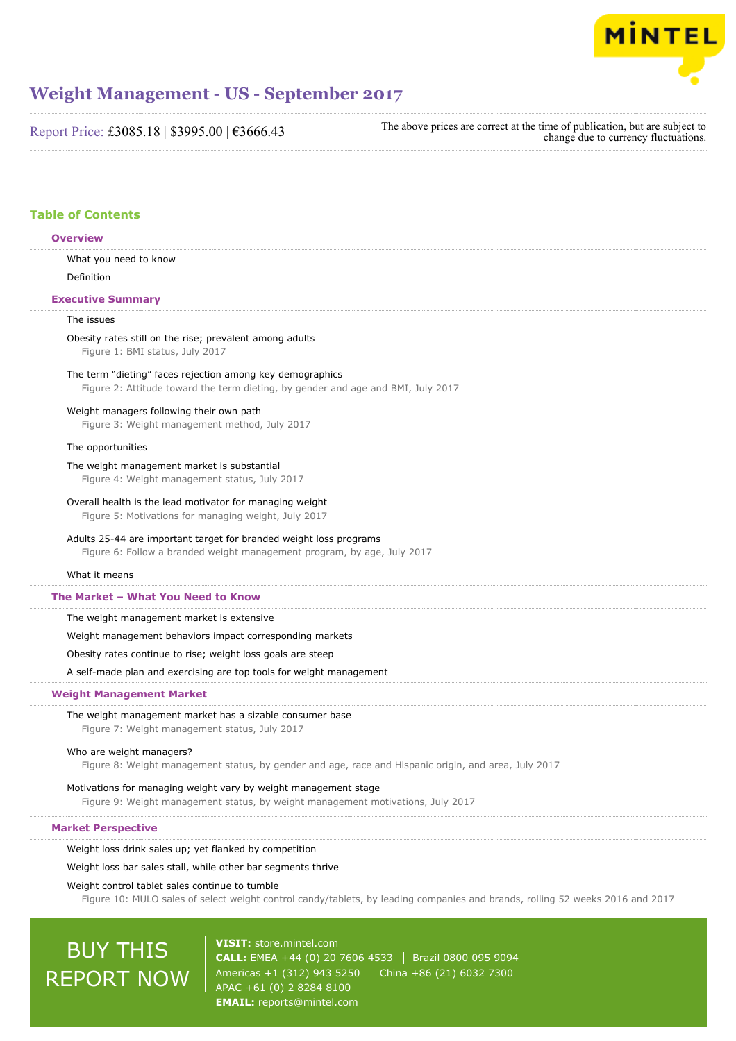

Report Price: £3085.18 | \$3995.00 | €3666.43

The above prices are correct at the time of publication, but are subject to change due to currency fluctuations.

### **Table of Contents**

### **Overview**

What you need to know

Definition

### **Executive Summary**

### The issues

### Obesity rates still on the rise; prevalent among adults Figure 1: BMI status, July 2017

## The term "dieting" faces rejection among key demographics

Figure 2: Attitude toward the term dieting, by gender and age and BMI, July 2017

### Weight managers following their own path

Figure 3: Weight management method, July 2017

### The opportunities

### The weight management market is substantial

Figure 4: Weight management status, July 2017

### Overall health is the lead motivator for managing weight

Figure 5: Motivations for managing weight, July 2017

### Adults 25-44 are important target for branded weight loss programs

Figure 6: Follow a branded weight management program, by age, July 2017

### What it means

### **The Market – What You Need to Know**

The weight management market is extensive

Weight management behaviors impact corresponding markets

### Obesity rates continue to rise; weight loss goals are steep

A self-made plan and exercising are top tools for weight management

### **Weight Management Market**

### The weight management market has a sizable consumer base

Figure 7: Weight management status, July 2017

### Who are weight managers?

Figure 8: Weight management status, by gender and age, race and Hispanic origin, and area, July 2017

### Motivations for managing weight vary by weight management stage

Figure 9: Weight management status, by weight management motivations, July 2017

### **Market Perspective**

### Weight loss drink sales up; yet flanked by competition

### Weight loss bar sales stall, while other bar segments thrive

### Weight control tablet sales continue to tumble

Figure 10: MULO sales of select weight control candy/tablets, by leading companies and brands, rolling 52 weeks 2016 and 2017

# BUY THIS REPORT NOW

**VISIT:** [store.mintel.com](http://reports.mintel.com//display/store/794039/) **CALL:** EMEA +44 (0) 20 7606 4533 Brazil 0800 095 9094 Americas +1 (312) 943 5250 | China +86 (21) 6032 7300 APAC +61 (0) 2 8284 8100 **EMAIL:** [reports@mintel.com](mailto:reports@mintel.com)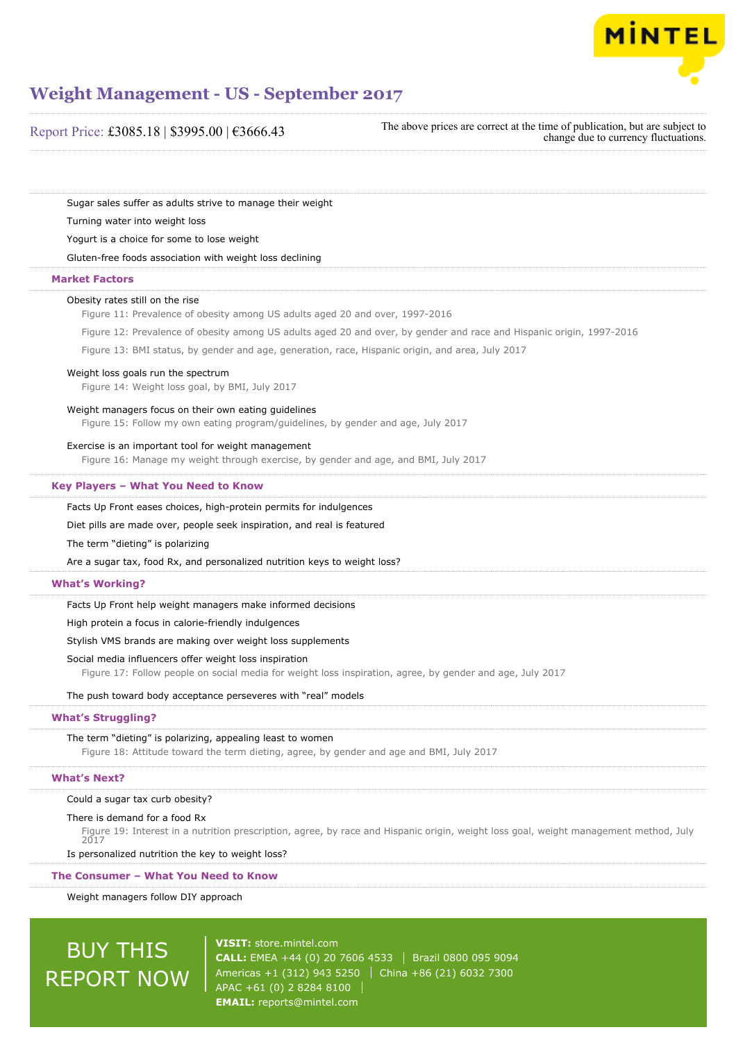

| Report Price: £3085.18   \$3995.00   €3666.43                                                                                                                       | The above prices are correct at the time of publication, but are subject to<br>change due to currency fluctuations.                   |
|---------------------------------------------------------------------------------------------------------------------------------------------------------------------|---------------------------------------------------------------------------------------------------------------------------------------|
| Sugar sales suffer as adults strive to manage their weight                                                                                                          |                                                                                                                                       |
| Turning water into weight loss                                                                                                                                      |                                                                                                                                       |
| Yogurt is a choice for some to lose weight                                                                                                                          |                                                                                                                                       |
| Gluten-free foods association with weight loss declining                                                                                                            |                                                                                                                                       |
| <b>Market Factors</b>                                                                                                                                               |                                                                                                                                       |
| Obesity rates still on the rise<br>Figure 11: Prevalence of obesity among US adults aged 20 and over, 1997-2016                                                     |                                                                                                                                       |
|                                                                                                                                                                     | Figure 12: Prevalence of obesity among US adults aged 20 and over, by gender and race and Hispanic origin, 1997-2016                  |
| Figure 13: BMI status, by gender and age, generation, race, Hispanic origin, and area, July 2017                                                                    |                                                                                                                                       |
| Weight loss goals run the spectrum<br>Figure 14: Weight loss goal, by BMI, July 2017                                                                                |                                                                                                                                       |
| Weight managers focus on their own eating guidelines<br>Figure 15: Follow my own eating program/guidelines, by gender and age, July 2017                            |                                                                                                                                       |
| Exercise is an important tool for weight management<br>Figure 16: Manage my weight through exercise, by gender and age, and BMI, July 2017                          |                                                                                                                                       |
| Key Players - What You Need to Know                                                                                                                                 |                                                                                                                                       |
| Facts Up Front eases choices, high-protein permits for indulgences                                                                                                  |                                                                                                                                       |
| Diet pills are made over, people seek inspiration, and real is featured                                                                                             |                                                                                                                                       |
| The term "dieting" is polarizing                                                                                                                                    |                                                                                                                                       |
| Are a sugar tax, food Rx, and personalized nutrition keys to weight loss?                                                                                           |                                                                                                                                       |
| <b>What's Working?</b>                                                                                                                                              |                                                                                                                                       |
| Facts Up Front help weight managers make informed decisions                                                                                                         |                                                                                                                                       |
| High protein a focus in calorie-friendly indulgences                                                                                                                |                                                                                                                                       |
| Stylish VMS brands are making over weight loss supplements                                                                                                          |                                                                                                                                       |
| Social media influencers offer weight loss inspiration<br>Figure 17: Follow people on social media for weight loss inspiration, agree, by gender and age, July 2017 |                                                                                                                                       |
| The push toward body acceptance perseveres with "real" models                                                                                                       |                                                                                                                                       |
| <b>What's Struggling?</b>                                                                                                                                           |                                                                                                                                       |
| The term "dieting" is polarizing, appealing least to women<br>Figure 18: Attitude toward the term dieting, agree, by gender and age and BMI, July 2017              |                                                                                                                                       |
| <b>What's Next?</b>                                                                                                                                                 |                                                                                                                                       |
| Could a sugar tax curb obesity?                                                                                                                                     |                                                                                                                                       |
| There is demand for a food Rx<br>2017                                                                                                                               | Figure 19: Interest in a nutrition prescription, agree, by race and Hispanic origin, weight loss goal, weight management method, July |
| Is personalized nutrition the key to weight loss?                                                                                                                   |                                                                                                                                       |
| The Consumer - What You Need to Know                                                                                                                                |                                                                                                                                       |
| Weight managers follow DIY approach                                                                                                                                 |                                                                                                                                       |

BUY THIS REPORT NOW

**VISIT:** [store.mintel.com](http://reports.mintel.com//display/store/794039/) **CALL:** EMEA +44 (0) 20 7606 4533 | Brazil 0800 095 9094 Americas +1 (312) 943 5250 China +86 (21) 6032 7300 APAC +61 (0) 2 8284 8100 **EMAIL:** [reports@mintel.com](mailto:reports@mintel.com)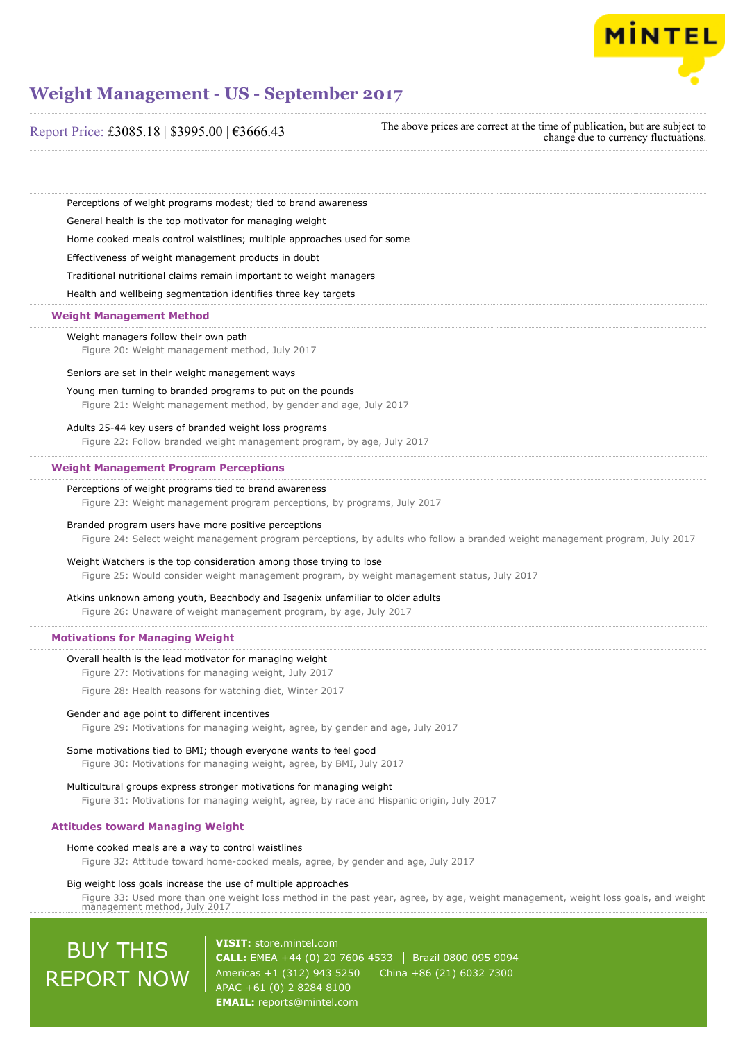

Report Price: £3085.18 | \$3995.00 | €3666.43

The above prices are correct at the time of publication, but are subject to change due to currency fluctuations.

Perceptions of weight programs modest; tied to brand awareness

General health is the top motivator for managing weight

Home cooked meals control waistlines; multiple approaches used for some

Effectiveness of weight management products in doubt

Traditional nutritional claims remain important to weight managers

Health and wellbeing segmentation identifies three key targets

### **Weight Management Method**

### Weight managers follow their own path

Figure 20: Weight management method, July 2017

Seniors are set in their weight management ways

### Young men turning to branded programs to put on the pounds

Figure 21: Weight management method, by gender and age, July 2017

### Adults 25-44 key users of branded weight loss programs

Figure 22: Follow branded weight management program, by age, July 2017

### **Weight Management Program Perceptions**

### Perceptions of weight programs tied to brand awareness

Figure 23: Weight management program perceptions, by programs, July 2017

### Branded program users have more positive perceptions

Figure 24: Select weight management program perceptions, by adults who follow a branded weight management program, July 2017

### Weight Watchers is the top consideration among those trying to lose

Figure 25: Would consider weight management program, by weight management status, July 2017

### Atkins unknown among youth, Beachbody and Isagenix unfamiliar to older adults

Figure 26: Unaware of weight management program, by age, July 2017

### **Motivations for Managing Weight**

### Overall health is the lead motivator for managing weight

Figure 27: Motivations for managing weight, July 2017

Figure 28: Health reasons for watching diet, Winter 2017

#### Gender and age point to different incentives

Figure 29: Motivations for managing weight, agree, by gender and age, July 2017

### Some motivations tied to BMI; though everyone wants to feel good

Figure 30: Motivations for managing weight, agree, by BMI, July 2017

#### Multicultural groups express stronger motivations for managing weight

Figure 31: Motivations for managing weight, agree, by race and Hispanic origin, July 2017

### **Attitudes toward Managing Weight**

#### Home cooked meals are a way to control waistlines

Figure 32: Attitude toward home-cooked meals, agree, by gender and age, July 2017

### Big weight loss goals increase the use of multiple approaches

Figure 33: Used more than one weight loss method in the past year, agree, by age, weight management, weight loss goals, and weight management method, July 2017

# BUY THIS REPORT NOW

**VISIT:** [store.mintel.com](http://reports.mintel.com//display/store/794039/) **CALL:** EMEA +44 (0) 20 7606 4533 | Brazil 0800 095 9094 Americas +1 (312) 943 5250 | China +86 (21) 6032 7300 APAC +61 (0) 2 8284 8100 **EMAIL:** [reports@mintel.com](mailto:reports@mintel.com)